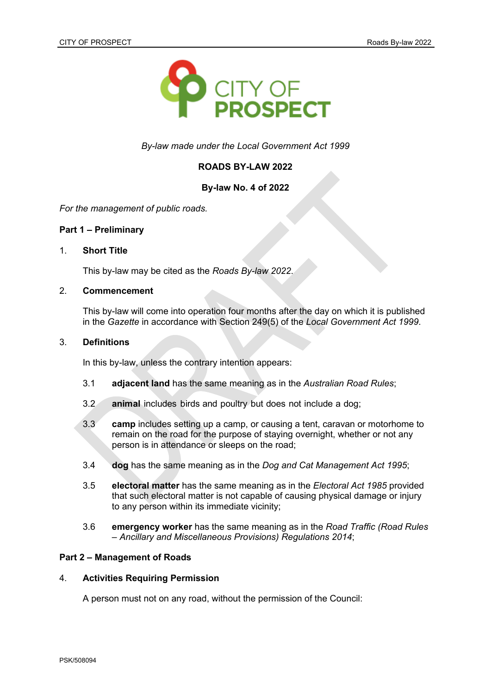

*By-law made under the Local Government Act 1999*

## **ROADS BY-LAW 2022**

## **By-law No. 4 of 2022**

*For the management of public roads.*

### **Part 1 – Preliminary**

### 1. **Short Title**

This by-law may be cited as the *Roads By-law 2022*.

# 2. **Commencement**

This by-law will come into operation four months after the day on which it is published in the *Gazette* in accordance with Section 249(5) of the *Local Government Act 1999*.

### 3. **Definitions**

In this by-law, unless the contrary intention appears:

- 3.1 **adjacent land** has the same meaning as in the *Australian Road Rules*;
- 3.2 **animal** includes birds and poultry but does not include a dog;
- 3.3 **camp** includes setting up a camp, or causing a tent, caravan or motorhome to remain on the road for the purpose of staying overnight, whether or not any person is in attendance or sleeps on the road;
- 3.4 **dog** has the same meaning as in the *Dog and Cat Management Act 1995*;
- 3.5 **electoral matter** has the same meaning as in the *Electoral Act 1985* provided that such electoral matter is not capable of causing physical damage or injury to any person within its immediate vicinity;
- 3.6 **emergency worker** has the same meaning as in the *Road Traffic (Road Rules – Ancillary and Miscellaneous Provisions) Regulations 2014*;

### **Part 2 – Management of Roads**

### 4. **Activities Requiring Permission**

A person must not on any road, without the permission of the Council: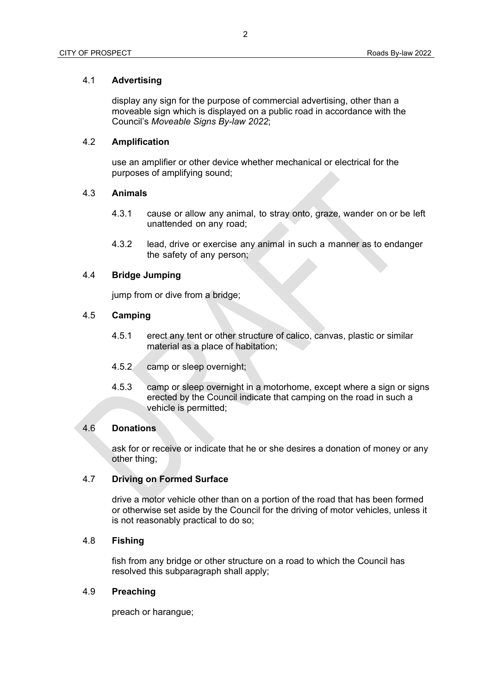## 4.1 **Advertising**

display any sign for the purpose of commercial advertising, other than a moveable sign which is displayed on a public road in accordance with the Council's *Moveable Signs By-law 2022*;

# 4.2 **Amplification**

use an amplifier or other device whether mechanical or electrical for the purposes of amplifying sound;

#### 4.3 **Animals**

- 4.3.1 cause or allow any animal, to stray onto, graze, wander on or be left unattended on any road;
- 4.3.2 lead, drive or exercise any animal in such a manner as to endanger the safety of any person;

## 4.4 **Bridge Jumping**

jump from or dive from a bridge;

#### 4.5 **Camping**

- 4.5.1 erect any tent or other structure of calico, canvas, plastic or similar material as a place of habitation;
- 4.5.2 camp or sleep overnight;
- 4.5.3 camp or sleep overnight in a motorhome, except where a sign or signs erected by the Council indicate that camping on the road in such a vehicle is permitted;

### 4.6 **Donations**

ask for or receive or indicate that he or she desires a donation of money or any other thing;

### 4.7 **Driving on Formed Surface**

drive a motor vehicle other than on a portion of the road that has been formed or otherwise set aside by the Council for the driving of motor vehicles, unless it is not reasonably practical to do so;

## 4.8 **Fishing**

fish from any bridge or other structure on a road to which the Council has resolved this subparagraph shall apply;

## 4.9 **Preaching**

preach or harangue;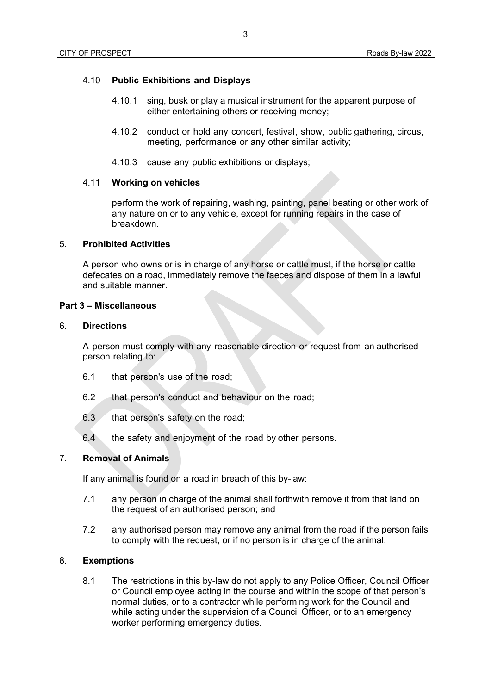## 4.10 **Public Exhibitions and Displays**

- 4.10.1 sing, busk or play a musical instrument for the apparent purpose of either entertaining others or receiving money;
- 4.10.2 conduct or hold any concert, festival, show, public gathering, circus, meeting, performance or any other similar activity;
- 4.10.3 cause any public exhibitions or displays;

### 4.11 **Working on vehicles**

perform the work of repairing, washing, painting, panel beating or other work of any nature on or to any vehicle, except for running repairs in the case of breakdown.

## 5. **Prohibited Activities**

A person who owns or is in charge of any horse or cattle must, if the horse or cattle defecates on a road, immediately remove the faeces and dispose of them in a lawful and suitable manner.

#### **Part 3 – Miscellaneous**

#### 6. **Directions**

A person must comply with any reasonable direction or request from an authorised person relating to:

- 6.1 that person's use of the road;
- 6.2 that person's conduct and behaviour on the road;
- 6.3 that person's safety on the road;
- 6.4 the safety and enjoyment of the road by other persons.

## 7. **Removal of Animals**

If any animal is found on a road in breach of this by-law:

- 7.1 any person in charge of the animal shall forthwith remove it from that land on the request of an authorised person; and
- 7.2 any authorised person may remove any animal from the road if the person fails to comply with the request, or if no person is in charge of the animal.

### 8. **Exemptions**

8.1 The restrictions in this by-law do not apply to any Police Officer, Council Officer or Council employee acting in the course and within the scope of that person's normal duties, or to a contractor while performing work for the Council and while acting under the supervision of a Council Officer, or to an emergency worker performing emergency duties.